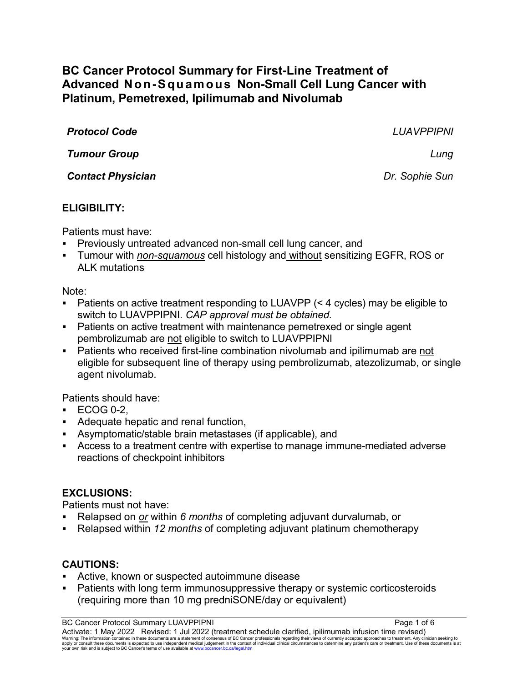# **BC Cancer Protocol Summary for First-Line Treatment of Advanced Non-Squamous Non-Small Cell Lung Cancer with Platinum, Pemetrexed, Ipilimumab and Nivolumab**

*Protocol Code LUAVPPIPNI Tumour Group Lung Contact Physician Dr. Sophie Sun*

### **ELIGIBILITY:**

Patients must have:

- Previously untreated advanced non-small cell lung cancer, and
- Tumour with *non-squamous* cell histology and without sensitizing EGFR, ROS or ALK mutations

### Note:

- Patients on active treatment responding to LUAVPP (< 4 cycles) may be eligible to switch to LUAVPPIPNI. *CAP approval must be obtained.*
- Patients on active treatment with maintenance pemetrexed or single agent pembrolizumab are not eligible to switch to LUAVPPIPNI
- Patients who received first-line combination nivolumab and ipilimumab are not eligible for subsequent line of therapy using pembrolizumab, atezolizumab, or single agent nivolumab.

Patients should have:

- $\cdot$  ECOG 0-2.
- Adequate hepatic and renal function,
- Asymptomatic/stable brain metastases (if applicable), and
- Access to a treatment centre with expertise to manage immune-mediated adverse reactions of checkpoint inhibitors

## **EXCLUSIONS:**

Patients must not have:

- Relapsed on *or* within *6 months* of completing adjuvant durvalumab, or
- Relapsed within *12 months* of completing adjuvant platinum chemotherapy

## **CAUTIONS:**

- Active, known or suspected autoimmune disease
- Patients with long term immunosuppressive therapy or systemic corticosteroids (requiring more than 10 mg predniSONE/day or equivalent)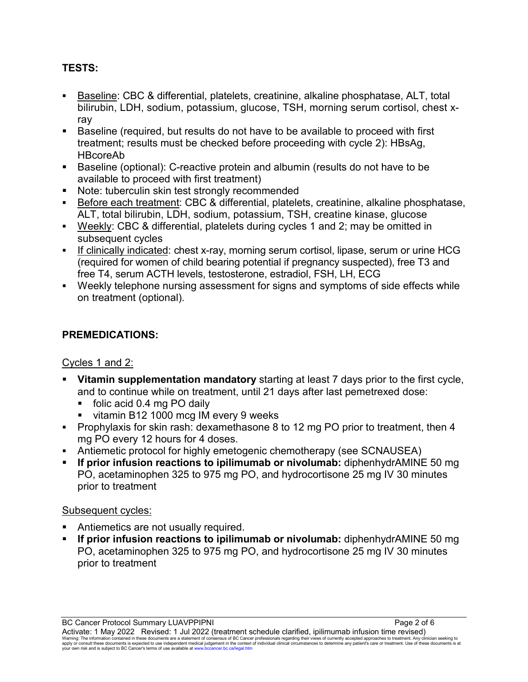## **TESTS:**

- Baseline: CBC & differential, platelets, creatinine, alkaline phosphatase, ALT, total bilirubin, LDH, sodium, potassium, glucose, TSH, morning serum cortisol, chest xray
- Baseline (required, but results do not have to be available to proceed with first treatment; results must be checked before proceeding with cycle 2): HBsAg, HBcoreAb
- Baseline (optional): C-reactive protein and albumin (results do not have to be available to proceed with first treatment)
- **Note: tuberculin skin test strongly recommended**
- Before each treatment: CBC & differential, platelets, creatinine, alkaline phosphatase, ALT, total bilirubin, LDH, sodium, potassium, TSH, creatine kinase, glucose
- Weekly: CBC & differential, platelets during cycles 1 and 2; may be omitted in subsequent cycles
- If clinically indicated: chest x-ray, morning serum cortisol, lipase, serum or urine HCG (required for women of child bearing potential if pregnancy suspected), free T3 and free T4, serum ACTH levels, testosterone, estradiol, FSH, LH, ECG
- Weekly telephone nursing assessment for signs and symptoms of side effects while on treatment (optional).

# **PREMEDICATIONS:**

### Cycles 1 and 2:

- **Vitamin supplementation mandatory** starting at least 7 days prior to the first cycle, and to continue while on treatment, until 21 days after last pemetrexed dose:
	- folic acid 0.4 mg PO daily
	- vitamin B12 1000 mcg IM every 9 weeks
- Prophylaxis for skin rash: dexamethasone 8 to 12 mg PO prior to treatment, then 4 mg PO every 12 hours for 4 doses.
- Antiemetic protocol for highly emetogenic chemotherapy (see SCNAUSEA)
- **If prior infusion reactions to ipilimumab or nivolumab:** diphenhydrAMINE 50 mg PO, acetaminophen 325 to 975 mg PO, and hydrocortisone 25 mg IV 30 minutes prior to treatment

## Subsequent cycles:

- Antiemetics are not usually required.
- **If prior infusion reactions to ipilimumab or nivolumab:** diphenhydrAMINE 50 mg PO, acetaminophen 325 to 975 mg PO, and hydrocortisone 25 mg IV 30 minutes prior to treatment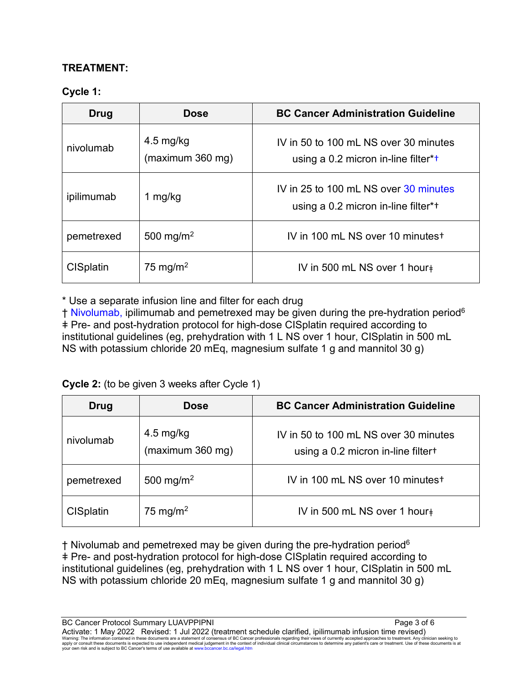### **TREATMENT:**

### **Cycle 1:**

| Drug             | <b>Dose</b>                             | <b>BC Cancer Administration Guideline</b>                                    |
|------------------|-----------------------------------------|------------------------------------------------------------------------------|
| nivolumab        | $4.5 \text{ mg/kg}$<br>(maximum 360 mg) | IV in 50 to 100 mL NS over 30 minutes<br>using a 0.2 micron in-line filter*+ |
| ipilimumab       | 1 mg/kg                                 | IV in 25 to 100 mL NS over 30 minutes<br>using a 0.2 micron in-line filter*+ |
| pemetrexed       | 500 mg/m <sup>2</sup>                   | IV in 100 mL NS over 10 minutest                                             |
| <b>CISplatin</b> | 75 mg/m <sup>2</sup>                    | IV in 500 mL NS over 1 hour                                                  |

\* Use a separate infusion line and filter for each drug

† Nivolumab, ipilimumab and pemetrexed may be given during the pre-hydration period6 ǂ Pre- and post-hydration protocol for high-dose CISplatin required according to institutional guidelines (eg, prehydration with 1 L NS over 1 hour, CISplatin in 500 mL NS with potassium chloride 20 mEq, magnesium sulfate 1 g and mannitol 30 g)

**Cycle 2:** (to be given 3 weeks after Cycle 1)

| Drug             | <b>Dose</b>                             | <b>BC Cancer Administration Guideline</b>                                   |
|------------------|-----------------------------------------|-----------------------------------------------------------------------------|
| nivolumab        | $4.5 \text{ mg/kg}$<br>(maximum 360 mg) | IV in 50 to 100 mL NS over 30 minutes<br>using a 0.2 micron in-line filter+ |
| pemetrexed       | 500 mg/m <sup>2</sup>                   | IV in 100 mL NS over 10 minutest                                            |
| <b>CISplatin</b> | 75 mg/m <sup>2</sup>                    | IV in 500 mL NS over 1 hour+                                                |

 $\dagger$  Nivolumab and pemetrexed may be given during the pre-hydration period<sup>6</sup> ǂ Pre- and post-hydration protocol for high-dose CISplatin required according to institutional guidelines (eg, prehydration with 1 L NS over 1 hour, CISplatin in 500 mL NS with potassium chloride 20 mEq, magnesium sulfate 1 g and mannitol 30 g)

BC Cancer Protocol Summary LUAVPPIPNI **Page 3 of 6** Activate: 1 May 2022 Revised: 1 Jul 2022 (treatment schedule clarified, ipilimumab infusion time revised) Warning: The information contained in these documents are a statement of consensus of BC Cancer professionals regarding their views of currently accepted approaches to treatment. Any clinician seeking to<br>apply or consult t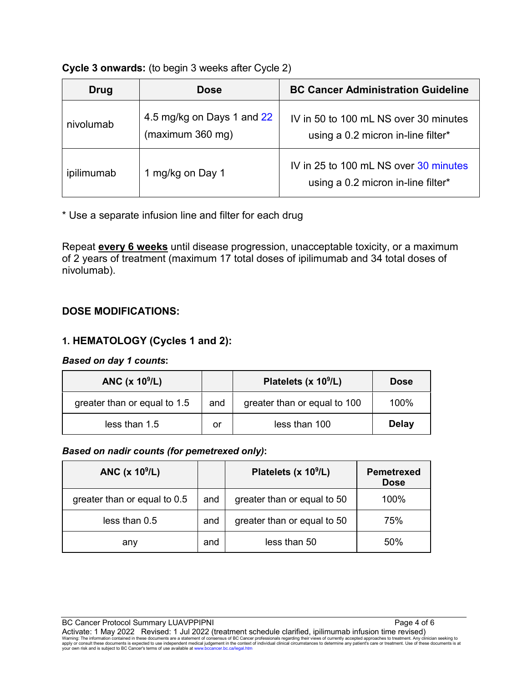#### **Cycle 3 onwards:** (to begin 3 weeks after Cycle 2)

| Drug       | <b>Dose</b>                                    | <b>BC Cancer Administration Guideline</b>                                   |
|------------|------------------------------------------------|-----------------------------------------------------------------------------|
| nivolumab  | 4.5 mg/kg on Days 1 and 22<br>(maximum 360 mg) | IV in 50 to 100 mL NS over 30 minutes<br>using a 0.2 micron in-line filter* |
| ipilimumab | 1 mg/kg on Day 1                               | IV in 25 to 100 mL NS over 30 minutes<br>using a 0.2 micron in-line filter* |

\* Use a separate infusion line and filter for each drug

Repeat **every 6 weeks** until disease progression, unacceptable toxicity, or a maximum of 2 years of treatment (maximum 17 total doses of ipilimumab and 34 total doses of nivolumab).

## **DOSE MODIFICATIONS:**

### **1. HEMATOLOGY (Cycles 1 and 2):**

#### *Based on day 1 counts***:**

| ANC $(x 109/L)$              |     | Platelets (x 10 <sup>9</sup> /L) | <b>Dose</b>  |
|------------------------------|-----|----------------------------------|--------------|
| greater than or equal to 1.5 | and | greater than or equal to 100     | 100%         |
| less than 1.5                | or  | less than 100                    | <b>Delay</b> |

#### *Based on nadir counts (for pemetrexed only)***:**

| ANC (x 10 <sup>9</sup> /L)   |     | Platelets (x 10 <sup>9</sup> /L) | <b>Pemetrexed</b><br><b>Dose</b> |
|------------------------------|-----|----------------------------------|----------------------------------|
| greater than or equal to 0.5 | and | greater than or equal to 50      | 100%                             |
| less than 0.5                | and | greater than or equal to 50      | 75%                              |
| any                          | and | less than 50                     | 50%                              |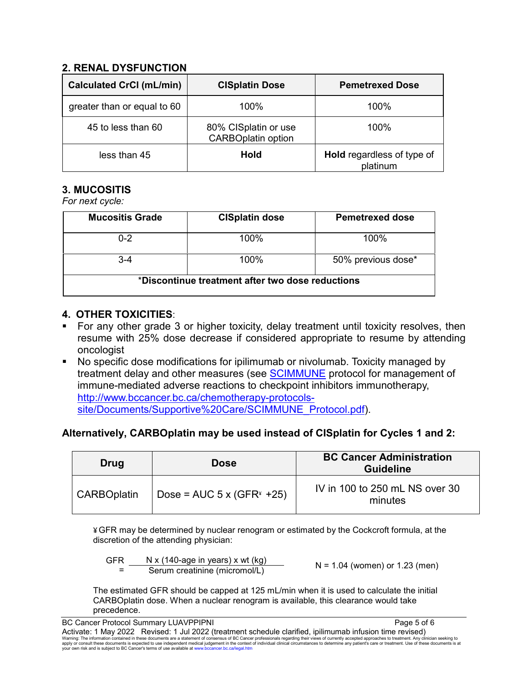### **2. RENAL DYSFUNCTION**

| <b>Calculated CrCl (mL/min)</b> | <b>CISplatin Dose</b>                             | <b>Pemetrexed Dose</b>                 |
|---------------------------------|---------------------------------------------------|----------------------------------------|
| greater than or equal to 60     | 100%                                              | 100%                                   |
| 45 to less than 60              | 80% CISplatin or use<br><b>CARBOplatin option</b> | 100%                                   |
| less than 45                    | <b>Hold</b>                                       | Hold regardless of type of<br>platinum |

# **3. MUCOSITIS**

*For next cycle:*

| <b>Mucositis Grade</b>                           | <b>CISplatin dose</b> | <b>Pemetrexed dose</b> |  |
|--------------------------------------------------|-----------------------|------------------------|--|
| $0 - 2$                                          | $100\%$               | $100\%$                |  |
| 3-4                                              | 100%                  | 50% previous dose*     |  |
| *Discontinue treatment after two dose reductions |                       |                        |  |

### **4. OTHER TOXICITIES**:

- For any other grade 3 or higher toxicity, delay treatment until toxicity resolves, then resume with 25% dose decrease if considered appropriate to resume by attending oncologist
- No specific dose modifications for ipilimumab or nivolumab. Toxicity managed by treatment delay and other measures (see **SCIMMUNE** protocol for management of immune-mediated adverse reactions to checkpoint inhibitors immunotherapy, [http://www.bccancer.bc.ca/chemotherapy-protocols](http://www.bccancer.bc.ca/chemotherapy-protocols-site/Documents/Supportive%20Care/SCIMMUNE_Protocol.pdf)[site/Documents/Supportive%20Care/SCIMMUNE\\_Protocol.pdf\)](http://www.bccancer.bc.ca/chemotherapy-protocols-site/Documents/Supportive%20Care/SCIMMUNE_Protocol.pdf).

## **Alternatively, CARBOplatin may be used instead of CISplatin for Cycles 1 and 2:**

| Drug               | <b>Dose</b>                        | <b>BC Cancer Administration</b><br><b>Guideline</b> |
|--------------------|------------------------------------|-----------------------------------------------------|
| <b>CARBOplatin</b> | Dose = AUC $5 \times (GFR^* + 25)$ | IV in 100 to 250 mL NS over 30<br>minutes           |

¥GFR may be determined by nuclear renogram or estimated by the Cockcroft formula, at the discretion of the attending physician:

| <b>GFR</b> | N x (140-age in years) x wt (kg) |                                  |
|------------|----------------------------------|----------------------------------|
|            | Serum creatinine (micromol/L)    | $N = 1.04$ (women) or 1.23 (men) |

The estimated GFR should be capped at 125 mL/min when it is used to calculate the initial CARBOplatin dose. When a nuclear renogram is available, this clearance would take precedence.